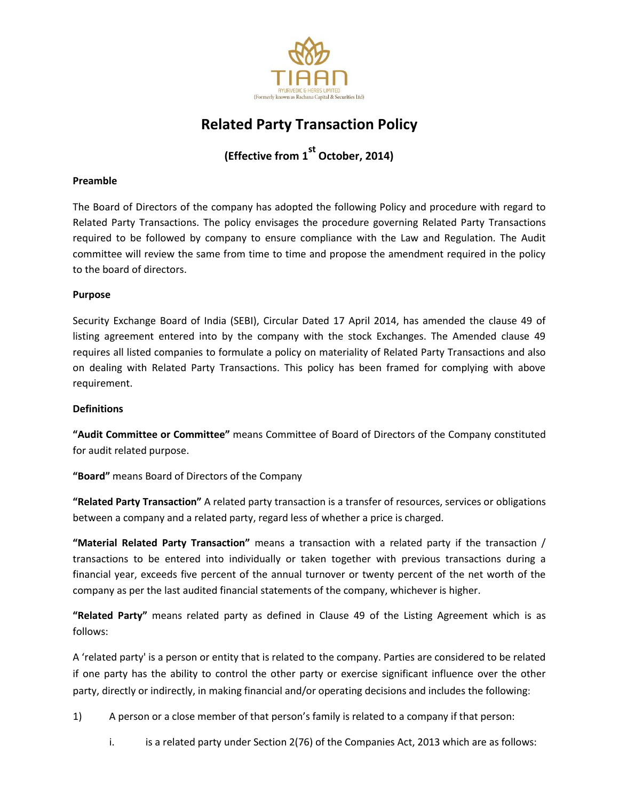

# **Related Party Transaction Policy**

**(Effective from 1 st October, 2014)**

# **Preamble**

The Board of Directors of the company has adopted the following Policy and procedure with regard to Related Party Transactions. The policy envisages the procedure governing Related Party Transactions required to be followed by company to ensure compliance with the Law and Regulation. The Audit committee will review the same from time to time and propose the amendment required in the policy to the board of directors.

# **Purpose**

Security Exchange Board of India (SEBI), Circular Dated 17 April 2014, has amended the clause 49 of listing agreement entered into by the company with the stock Exchanges. The Amended clause 49 requires all listed companies to formulate a policy on materiality of Related Party Transactions and also on dealing with Related Party Transactions. This policy has been framed for complying with above requirement.

# **Definitions**

**"Audit Committee or Committee"** means Committee of Board of Directors of the Company constituted for audit related purpose.

**"Board"** means Board of Directors of the Company

**"Related Party Transaction"** A related party transaction is a transfer of resources, services or obligations between a company and a related party, regard less of whether a price is charged.

**"Material Related Party Transaction"** means a transaction with a related party if the transaction / transactions to be entered into individually or taken together with previous transactions during a financial year, exceeds five percent of the annual turnover or twenty percent of the net worth of the company as per the last audited financial statements of the company, whichever is higher.

**"Related Party"** means related party as defined in Clause 49 of the Listing Agreement which is as follows:

A 'related party' is a person or entity that is related to the company. Parties are considered to be related if one party has the ability to control the other party or exercise significant influence over the other party, directly or indirectly, in making financial and/or operating decisions and includes the following:

1) A person or a close member of that person's family is related to a company if that person:

i. is a related party under Section 2(76) of the Companies Act, 2013 which are as follows: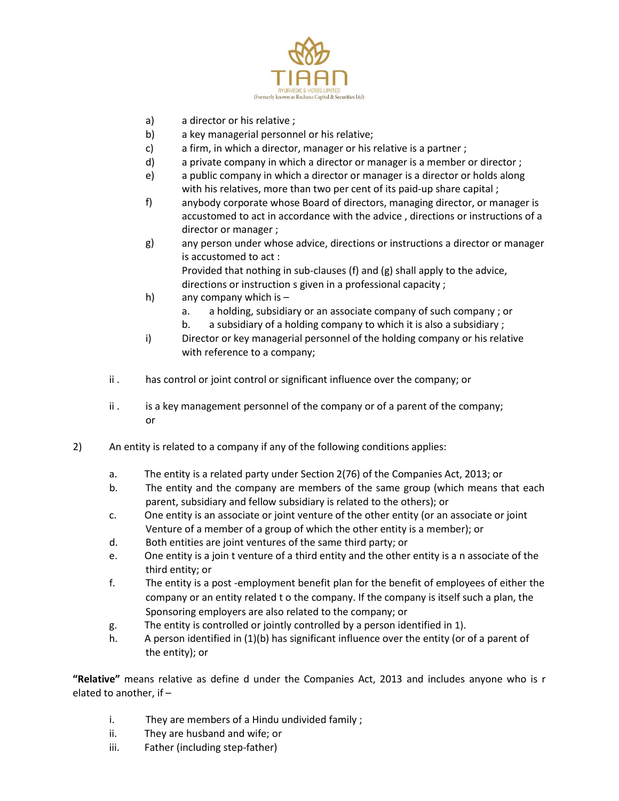

- a) a director or his relative ;
- b) a key managerial personnel or his relative;
- c) a firm, in which a director, manager or his relative is a partner ;
- d) a private company in which a director or manager is a member or director ;
- e) a public company in which a director or manager is a director or holds along with his relatives, more than two per cent of its paid-up share capital;
- f) anybody corporate whose Board of directors, managing director, or manager is accustomed to act in accordance with the advice , directions or instructions of a director or manager ;
- g) any person under whose advice, directions or instructions a director or manager is accustomed to act : Provided that nothing in sub‐clauses (f) and (g) shall apply to the advice,

directions or instruction s given in a professional capacity ;

- h) any company which is –
	- a. a holding, subsidiary or an associate company of such company ; or
	- b. a subsidiary of a holding company to which it is also a subsidiary ;
- i) Director or key managerial personnel of the holding company or his relative with reference to a company;
- ii . has control or joint control or significant influence over the company; or
- ii . is a key management personnel of the company or of a parent of the company; or
- 2) An entity is related to a company if any of the following conditions applies:
	- a. The entity is a related party under Section 2(76) of the Companies Act, 2013; or
	- b. The entity and the company are members of the same group (which means that each parent, subsidiary and fellow subsidiary is related to the others); or
	- c. One entity is an associate or joint venture of the other entity (or an associate or joint Venture of a member of a group of which the other entity is a member); or
	- d. Both entities are joint ventures of the same third party; or
	- e. One entity is a join t venture of a third entity and the other entity is a n associate of the third entity; or
	- f. The entity is a post -employment benefit plan for the benefit of employees of either the company or an entity related t o the company. If the company is itself such a plan, the Sponsoring employers are also related to the company; or
	- g. The entity is controlled or jointly controlled by a person identified in 1).
	- h. A person identified in (1)(b) has significant influence over the entity (or of a parent of the entity); or

**"Relative"** means relative as define d under the Companies Act, 2013 and includes anyone who is r elated to another, if –

- i. They are members of a Hindu undivided family ;
- ii. They are husband and wife; or
- iii. Father (including step-father)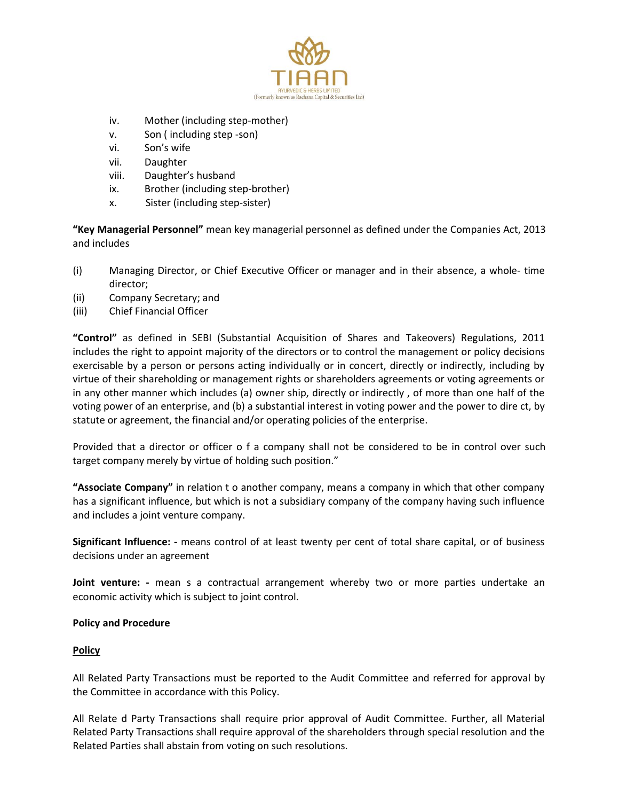

- iv. Mother (including step-mother)
- v. Son ( including step ‐son)
- vi. Son's wife
- vii. Daughter
- viii. Daughter's husband
- ix. Brother (including step-brother)
- x. Sister (including step‐sister)

**"Key Managerial Personnel"** mean key managerial personnel as defined under the Companies Act, 2013 and includes

- (i) Managing Director, or Chief Executive Officer or manager and in their absence, a whole‐ time director;
- (ii) Company Secretary; and
- (iii) Chief Financial Officer

**"Control"** as defined in SEBI (Substantial Acquisition of Shares and Takeovers) Regulations, 2011 includes the right to appoint majority of the directors or to control the management or policy decisions exercisable by a person or persons acting individually or in concert, directly or indirectly, including by virtue of their shareholding or management rights or shareholders agreements or voting agreements or in any other manner which includes (a) owner ship, directly or indirectly , of more than one half of the voting power of an enterprise, and (b) a substantial interest in voting power and the power to dire ct, by statute or agreement, the financial and/or operating policies of the enterprise.

Provided that a director or officer o f a company shall not be considered to be in control over such target company merely by virtue of holding such position."

**"Associate Company"** in relation t o another company, means a company in which that other company has a significant influence, but which is not a subsidiary company of the company having such influence and includes a joint venture company.

**Significant Influence: ‐** means control of at least twenty per cent of total share capital, or of business decisions under an agreement

Joint venture: - mean s a contractual arrangement whereby two or more parties undertake an economic activity which is subject to joint control.

# **Policy and Procedure**

# **Policy**

All Related Party Transactions must be reported to the Audit Committee and referred for approval by the Committee in accordance with this Policy.

All Relate d Party Transactions shall require prior approval of Audit Committee. Further, all Material Related Party Transactions shall require approval of the shareholders through special resolution and the Related Parties shall abstain from voting on such resolutions.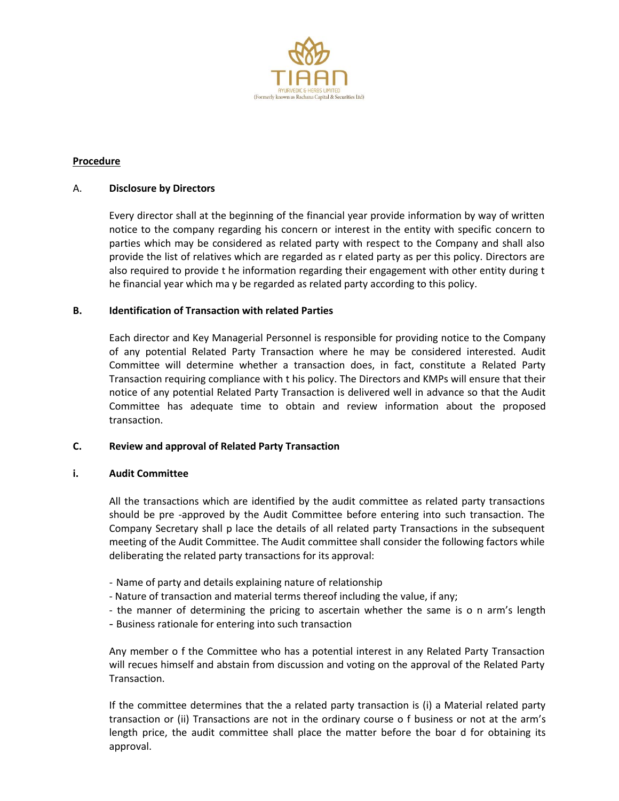

# **Procedure**

## A. **Disclosure by Directors**

Every director shall at the beginning of the financial year provide information by way of written notice to the company regarding his concern or interest in the entity with specific concern to parties which may be considered as related party with respect to the Company and shall also provide the list of relatives which are regarded as r elated party as per this policy. Directors are also required to provide t he information regarding their engagement with other entity during t he financial year which ma y be regarded as related party according to this policy.

## **B. Identification of Transaction with related Parties**

Each director and Key Managerial Personnel is responsible for providing notice to the Company of any potential Related Party Transaction where he may be considered interested. Audit Committee will determine whether a transaction does, in fact, constitute a Related Party Transaction requiring compliance with t his policy. The Directors and KMPs will ensure that their notice of any potential Related Party Transaction is delivered well in advance so that the Audit Committee has adequate time to obtain and review information about the proposed transaction.

# **C. Review and approval of Related Party Transaction**

## **i. Audit Committee**

All the transactions which are identified by the audit committee as related party transactions should be pre ‐approved by the Audit Committee before entering into such transaction. The Company Secretary shall p lace the details of all related party Transactions in the subsequent meeting of the Audit Committee. The Audit committee shall consider the following factors while deliberating the related party transactions for its approval:

- ‐ Name of party and details explaining nature of relationship
- ‐ Nature of transaction and material terms thereof including the value, if any;
- ‐ the manner of determining the pricing to ascertain whether the same is o n arm's length
- Business rationale for entering into such transaction

Any member o f the Committee who has a potential interest in any Related Party Transaction will recues himself and abstain from discussion and voting on the approval of the Related Party Transaction.

If the committee determines that the a related party transaction is (i) a Material related party transaction or (ii) Transactions are not in the ordinary course o f business or not at the arm's length price, the audit committee shall place the matter before the boar d for obtaining its approval.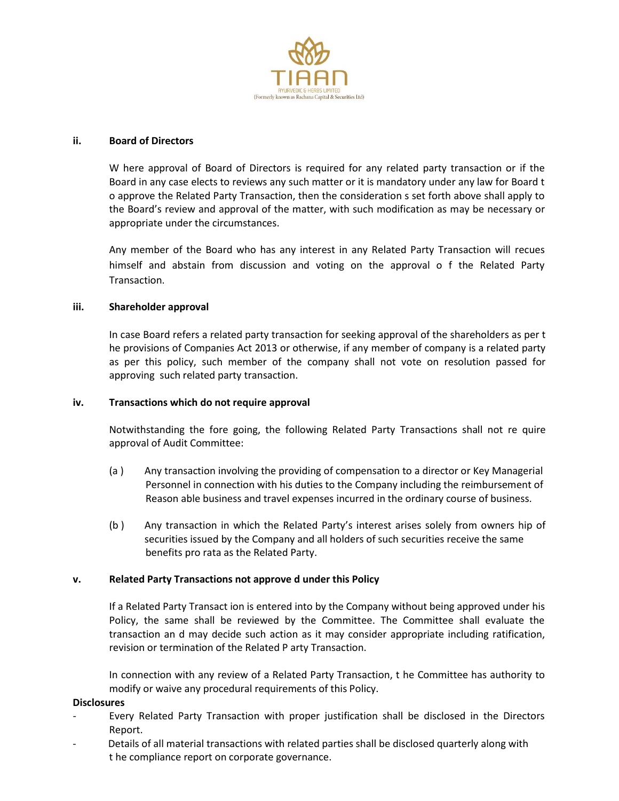

## **ii. Board of Directors**

W here approval of Board of Directors is required for any related party transaction or if the Board in any case elects to reviews any such matter or it is mandatory under any law for Board t o approve the Related Party Transaction, then the consideration s set forth above shall apply to the Board's review and approval of the matter, with such modification as may be necessary or appropriate under the circumstances.

Any member of the Board who has any interest in any Related Party Transaction will recues himself and abstain from discussion and voting on the approval o f the Related Party Transaction.

## **iii. Shareholder approval**

In case Board refers a related party transaction for seeking approval of the shareholders as per t he provisions of Companies Act 2013 or otherwise, if any member of company is a related party as per this policy, such member of the company shall not vote on resolution passed for approving such related party transaction.

## **iv. Transactions which do not require approval**

Notwithstanding the fore going, the following Related Party Transactions shall not re quire approval of Audit Committee:

- (a ) Any transaction involving the providing of compensation to a director or Key Managerial Personnel in connection with his duties to the Company including the reimbursement of Reason able business and travel expenses incurred in the ordinary course of business.
- (b ) Any transaction in which the Related Party's interest arises solely from owners hip of securities issued by the Company and all holders of such securities receive the same benefits pro rata as the Related Party.

## **v. Related Party Transactions not approve d under this Policy**

If a Related Party Transact ion is entered into by the Company without being approved under his Policy, the same shall be reviewed by the Committee. The Committee shall evaluate the transaction an d may decide such action as it may consider appropriate including ratification, revision or termination of the Related P arty Transaction.

In connection with any review of a Related Party Transaction, t he Committee has authority to modify or waive any procedural requirements of this Policy.

## **Disclosures**

- ‐ Every Related Party Transaction with proper justification shall be disclosed in the Directors Report.
- ‐ Details of all material transactions with related parties shall be disclosed quarterly along with t he compliance report on corporate governance.